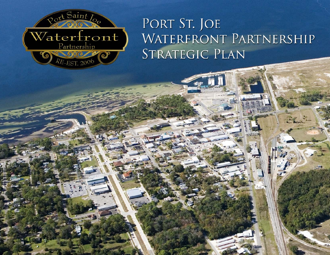

# WATERFRONT PARTNERSHIP STRATEGIC PLAN

Land Design Innovation Innovation Innovation Innovation Innovation Innovation Innovation Innovation Innovation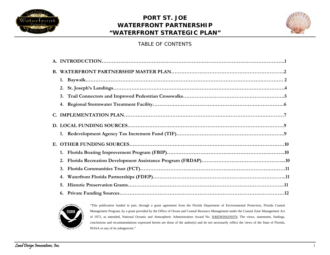



## TABLE OF CONTENTS

| 1. |  |
|----|--|
| 2. |  |
| 3. |  |
|    |  |
|    |  |
|    |  |
|    |  |
|    |  |
|    |  |
| 2. |  |
|    |  |
| 4. |  |
| 5. |  |
|    |  |



"This publication funded in part, through a grant agreement from the Florida Department of Environmental Protection, Florida Coastal Management Program, by a grant provided by the Office of Ocean and Coastal Resource Management under the Coastal Zone Management Act of 1972, as amended, National Oceanic and Atmospheric Administration Award No. *NA05NOS4191074.* The views, statements, findings, conclusions and recommendations expressed herein are those of the author(s) and do not necessarily reflect the views of the State of Florida, NOAA or any of its subagencies."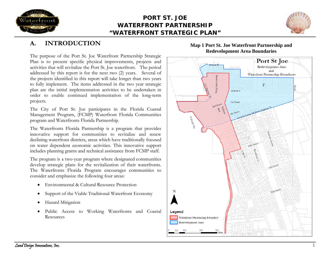



## **A.INTRODUCTION**

The purpose of the Port St. Joe Waterfront Partnership Strategic Plan is to present specific physical improvements, projects and activities that will revitalize the Port St. Joe waterfront. The period addressed by this report is for the next two (2) years. Several of the projects identified in this report will take longer than two years to fully implement. The items addressed in the two year strategic plan are the initial implementation activities to be undertaken in order to enable continued implementation of the long-term projects.

The City of Port St. Joe participates in the Florida Coastal Management Program, (FCMP) Waterfront Florida Communities program and Waterfronts Florida Partnership.

The Waterfronts Florida Partnership is a program that provides innovative support for communities to revitalize and renew declining waterfront districts, areas which have traditionally focused on water dependent economic activities. This innovative support includes planning grants and technical assistance from FCMP staff.

The program is a two-year program where designated communities develop strategic plans for the revitalization of their waterfronts. The Waterfronts Florida Program encourages communities to consider and emphasize the following four areas:

- •Environmental & Cultural Resource Protection
- •Support of the Viable Traditional Waterfront Economy
- •Hazard Mitigation
- • Public Access to Working Waterfronts and Coastal Resources

## **Map 1 Port St. Joe Waterfront Partnership and Redevelopment Area Boundaries**

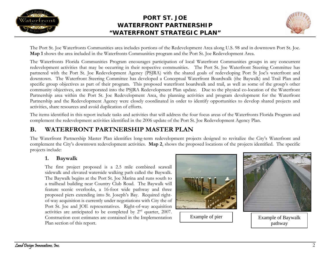



The Port St. Joe Waterfronts Communities area includes portions of the Redevelopment Area along U.S. 98 and in downtown Port St. Joe. **Map 1** shows the area included in the Waterfronts Communities program and the Port St. Joe Redevelopment Area.

The Waterfronts Florida Communities Program encourages participation of local Waterfront Communities groups in any concurrent redevelopment activities that may be occurring in their respective communities. The Port St. Joe Waterfront Steering Committee has partnered with the Port St. Joe Redevelopment Agency (PSJRA) with the shared goals of redeveloping Port St Joe's waterfront and downtown. The Waterfront Steering Committee has developed a Conceptual Waterfront Boardwalk (the Baywalk) and Trail Plan and specific group objectives as part of their program. This proposed waterfront boardwalk and trail, as well as some of the group's other community objectives, are incorporated into the PSJRA Redevelopment Plan update. Due to the physical co-location of the Waterfront Partnership area within the Port St. Joe Redevelopment Area, the planning activities and program development for the Waterfront Partnership and the Redevelopment Agency were closely coordinated in order to identify opportunities to develop shared projects and activities, share resources and avoid duplication of efforts.

The items identified in this report include tasks and activities that will address the four focus areas of the Waterfronts Florida Program and complement the redevelopment activities identified in the 2006 update of the Port St. Joe Redevelopment Agency Plan.

## **B.WATERFRONT PARTNERSHIP MASTER PLAN**

The Waterfront Partnership Master Plan identifies long-term redevelopment projects designed to revitalize the City's Waterfront and complement the City's downtown redevelopment activities. **Map 2**, shows the proposed locations of the projects identified. The specific projects include:

## **1.Baywalk**

The first project proposed is a 2.5 mile combined seawall sidewalk and elevated waterside walking path called the Baywalk. The Baywalk begins at the Port St. Joe Marina and runs south to a trailhead building near Country Club Road. The Baywalk will feature scenic overlooks, a 16-foot wide pathway and three proposed piers extending into St. Joseph's Bay. Required rightof-way acquisition is currently under negotiations with City the of Port St. Joe and JOE representatives. Right-of-way acquisition activities are anticipated to be completed by 2nd quarter, 2007. Construction cost estimates are contained in the Implementation Plan section of this report.





Example of pier Fxample of Baywalk pathway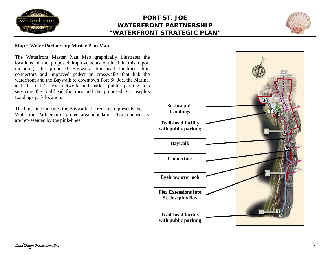



## **Map 2 Water Partnership Master Plan Map**

The Waterfront Master Plan Map graphically illustrates the locations of the proposed improvements outlined in this report including: the proposed Baywalk; trail-head facilities, trail connectors and improved pedestrian crosswalks that link the waterfront and the Baywalk to downtown Port St. Joe, the Marina, and the City's trail network and parks; public parking lots servicing the trail-head facilities and the proposed St. Joseph's Landings park location.

The blue-line indicates the Baywalk, the red-line represents the Waterfront Partnership's project area boundaries. Trail connectors are represented by the pink-lines.

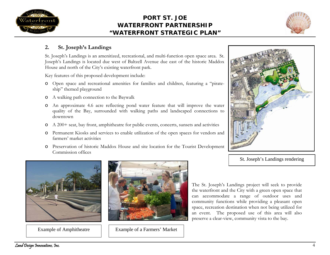



## **2.St. Joseph's Landings**

St. Joseph's Landings is an amenitized, recreational, and multi-function open space area. St. Joseph's Landings is located due west of Baltzell Avenue due east of the historic Maddox House and north of the City's existing waterfront park.

Key features of this proposed development include:

- o Open space and recreational amenities for families and children, featuring a "pirateship" themed playground
- o A walking path connection to the Baywalk
- o An approximate 4.6 acre reflecting pond water feature that will improve the water quality of the Bay, surrounded with walking paths and landscaped connections to downtown
- o A 200+ seat, bay front, amphitheatre for public events, concerts, sunsets and activities
- o Permanent Kiosks and services to enable utilization of the open spaces for vendors and farmers' market activities
- o Preservation of historic Maddox House and site location for the Tourist Development Commission offices



St. Joseph's Landings rendering



Example of Amphitheatre



Example of a Farmers' Market

The St. Joseph's Landings project will seek to provide the waterfront and the City with a green open space that can accommodate a range of outdoor uses and community functions while providing a pleasant open space, recreation destination when not being utilized for an event. The proposed use of this area will also preserve a clear-view, community vista to the bay.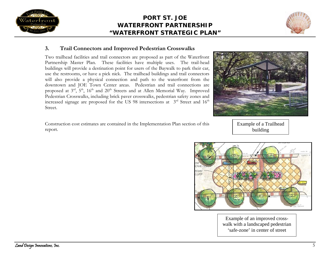



## **3.Trail Connectors and Improved Pedestrian Crosswalks**

Two trailhead facilities and trail connectors are proposed as part of the Waterfront Partnership Master Plan. These facilities have multiple uses. The trail-head buildings will provide a destination point for users of the Baywalk to park their car, use the restrooms, or have a pick nick. The trailhead buildings and trail connectors will also provide a physical connection and path to the waterfront from the downtown and JOE Town Center areas. Pedestrian and trail connections are proposed at  $3<sup>rd</sup>$ ,  $5<sup>th</sup>$ ,  $16<sup>th</sup>$  and  $20<sup>th</sup>$  Streets and at Allen Memorial Way. Improved Pedestrian Crosswalks, including brick paver crosswalks, pedestrian safety zones and increased signage are proposed for the US 98 intersections at  $3<sup>rd</sup>$  Street and  $16<sup>th</sup>$ Street.

Construction cost estimates are contained in the Implementation Plan section of this report.

Example of a Trailhead building



Example of an improved crosswalk with a landscaped pedestrian 'safe-zone' in center of street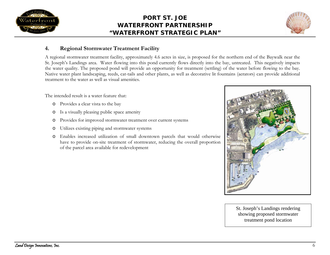



## **4.Regional Stormwater Treatment Facility**

A regional stormwater treatment facility, approximately 4.6 acres in size, is proposed for the northern end of the Baywalk near the St. Joseph's Landings area. Water flowing into this pond currently flows directly into the bay, untreated. This negatively impacts the water quality. The proposed pond will provide an opportunity for treatment (settling) of the water before flowing to the bay. Native water plant landscaping, reeds, cat-tails and other plants, as well as decorative lit fountains (aerators) can provide additional treatment to the water as well as visual amenities.

The intended result is a water feature that:

- o Provides a clear vista to the bay
- oIs a visually pleasing public space amenity
- oProvides for improved stormwater treatment over current systems
- oUtilizes existing piping and stormwater systems
- o Enables increased utilization of small downtown parcels that would otherwise have to provide on-site treatment of stormwater, reducing the overall proportion of the parcel area available for redevelopment



St. Joseph's Landings rendering showing proposed stormwater treatment pond location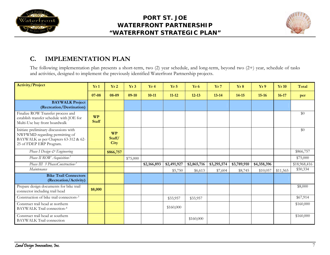



## **C.IMPLEMENTATION PLAN**

The following implementation plan presents a short-term, two (2) year schedule, and long-term, beyond two (2+) year, schedule of tasks and activities, designed to implement the previously identified Waterfront Partnership projects.

| <b>Activity/Project</b>                                                                                                                    | Yr1                       | Yr2                                | Yr3      | Yr4         | Yr <sub>5</sub> | Yr <sub>6</sub> | Yr7         | Yr8         | Yr9         | Yr10     | Total        |
|--------------------------------------------------------------------------------------------------------------------------------------------|---------------------------|------------------------------------|----------|-------------|-----------------|-----------------|-------------|-------------|-------------|----------|--------------|
|                                                                                                                                            | 07-08                     | 08-09                              | $09-10$  | $10 - 11$   | $11 - 12$       | $12 - 13$       | $13 - 14$   | $14 - 15$   | $15 - 16$   | $16-17$  | per          |
| <b>BAYWALK Project</b><br>(Recreation/Destination)                                                                                         |                           |                                    |          |             |                 |                 |             |             |             |          |              |
| Finalize ROW Transfer process and<br>establish transfer schedule with JOE for<br>Multi-Use bay front boardwalk                             | <b>WP</b><br><b>Staff</b> |                                    |          |             |                 |                 |             |             |             |          | \$0          |
| Initiate preliminary discussions with<br>NWFWMD regarding permitting of<br>BAYWALK as per Chapters 63-312 & 62-<br>25 of FDEP ERP Program. |                           | <b>WP</b><br>Staff/<br><b>City</b> |          |             |                 |                 |             |             |             |          | \$0          |
| Phase I Design & Engineering                                                                                                               |                           | \$866,757                          |          |             |                 |                 |             |             |             |          | \$866,757    |
| Phase II ROW Acquisition-1                                                                                                                 |                           |                                    | \$75,000 |             |                 |                 |             |             |             |          | \$75,000     |
| Phase III 3 PhasesConstruction-2                                                                                                           |                           |                                    |          | \$2,166,893 | \$2,491,927     | \$2,865,716     | \$3,295,574 | \$3,789,910 | \$4,358,396 |          | \$18,968,416 |
| Maintenance                                                                                                                                |                           |                                    |          |             | \$5,750         | \$6,613         | \$7,604     | \$8,745     | \$10,057    | \$11,565 | \$50,334     |
| <b>Bike Trail Connectors</b><br>(Recreation/Activity)                                                                                      |                           |                                    |          |             |                 |                 |             |             |             |          |              |
| Prepare design documents for bike trail<br>connector including trail head                                                                  | \$8,000                   |                                    |          |             |                 |                 |             |             |             |          | \$8,000      |
| Construction of bike trail connectors-3                                                                                                    |                           |                                    |          |             | \$33,957        | \$33,957        |             |             |             |          | \$67,914     |
| Construct trail head at northern<br>BAYWALK Trail connection-4                                                                             |                           |                                    |          |             | \$160,000       |                 |             |             |             |          | \$160,000    |
| Construct trail head at southern<br><b>BAYWALK Trail connection</b>                                                                        |                           |                                    |          |             |                 | \$160,000       |             |             |             |          | \$160,000    |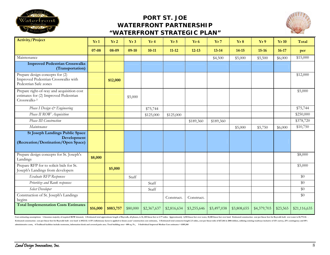



| <b>Activity/Project</b>                                                                            | Yr1       | Yr2       | Yr 3     | Yr4         | Yr 5        | Yr <sub>6</sub> | Yr 7        | Yr 8        | Yr 9        | Yr10     | <b>Total</b> |
|----------------------------------------------------------------------------------------------------|-----------|-----------|----------|-------------|-------------|-----------------|-------------|-------------|-------------|----------|--------------|
|                                                                                                    | $07 - 08$ | 08-09     | $09-10$  | $10 - 11$   | $11 - 12$   | $12 - 13$       | $13 - 14$   | $14 - 15$   | $15 - 16$   | $16-17$  | per          |
| Maintenance                                                                                        |           |           |          |             |             |                 | \$4,500     | \$5,000     | \$5,500     | \$6,000  | \$15,000     |
| <b>Improved Pedestrian Crosswalks</b><br>(Transportation)                                          |           |           |          |             |             |                 |             |             |             |          |              |
| Prepare design concepts for (2)<br>Improved Pedestrian Crosswalks with<br>Pedestrian Safe zones    |           | \$12,000  |          |             |             |                 |             |             |             |          | \$12,000     |
| Prepare right-of-way and acquisition cost<br>estimates for (2) Improved Pedestrian<br>Crosswalks-5 |           |           | \$5,000  |             |             |                 |             |             |             |          | \$5,000      |
| Phase I Design & Engineering                                                                       |           |           |          | \$75,744    |             |                 |             |             |             |          | \$75,744     |
| Phase II ROW Acquisition                                                                           |           |           |          | \$125,000   | \$125,000   |                 |             |             |             |          | \$250,000    |
| Phase III Construction                                                                             |           |           |          |             |             | \$189,360       | \$189,360   |             |             |          | \$378,720    |
| Maintenance                                                                                        |           |           |          |             |             |                 |             | \$5,000     | \$5,750     | \$6,000  | \$10,750     |
| <b>St Joseph Landings Public Space</b><br>Development<br>(Recreation/Destination/Open Space)       |           |           |          |             |             |                 |             |             |             |          |              |
| Prepare design concepts for St. Joseph's<br>Landings                                               | \$8,000   |           |          |             |             |                 |             |             |             |          | \$8,000      |
| Prepare RFP for to solicit bids for St.<br>Joseph's Landings from developers                       |           | \$5,000   |          |             |             |                 |             |             |             |          | \$5,000      |
| Evaluate RFP Responses                                                                             |           |           | Staff    |             |             |                 |             |             |             |          | \$0          |
| Prioritize and Rank responses                                                                      |           |           |          | Staff       |             |                 |             |             |             |          | \$0          |
| Select Developer                                                                                   |           |           |          | Staff       |             |                 |             |             |             |          | \$0          |
| Construction of St. Joseph's Landings<br>begins                                                    |           |           |          |             | Construct.  | Construct.      |             |             |             |          | \$0          |
| <b>Total Implementation Costs Estimates</b>                                                        | \$16,000  | \$883,757 | \$80,000 | \$2,367,637 | \$2,816,634 | \$3,255,646     | \$3,497,038 | \$3,808,655 | \$4,379,703 | \$23,565 | \$21,116,635 |

Cost estimating assumptions: 1-Assumes majority of required ROW donated, 2-Estimated total approximate length of Baywalk, all phases, is 14, 610 linear feet or 2.77 miles. Approximately 4,510 linear feet over water, 10,100 Estimated construction cost per linear foot for Baywalk built over land is \$923.52. A 15% inflationary factor is applied to future years' construction cost estimates, 3-Estimated total connector length 2.5 miles, cost per **administrative costs, 4-Trailhead facilities include restrooms, information kiosk and covered patio area. Total building area~ 600 sq. Ft., 5-Individual Improved Median Cost estimates = \$189,360**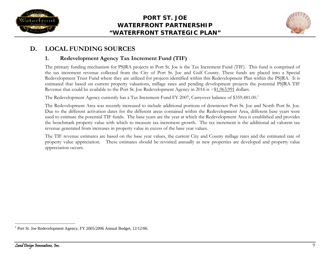



## **D.LOCAL FUNDING SOURCES**

## **1.Redevelopment Agency Tax Increment Fund (TIF)**

The primary funding mechanism for PSJRA projects in Port St. Joe is the Tax Increment Fund (TIF). This fund is comprised of the tax increment revenue collected from the City of Port St. Joe and Gulf County. These funds are placed into a Special Redevelopment Trust Fund where they are utilized for projects identified within this Redevelopment Plan within the PSJRA. It is estimated that based on current property valuations, millage rates and pending development projects the potential PSJRA TIF Revenue that could be available to the Port St. Joe Redevelopment Agency in 2016 is ~\$1,963,991 dollars.

The Redevelopment Agency currently has a Tax Increment Fund FY 2007, Carryover balance of \$359,481.00.<sup>1</sup>

The Redevelopment Area was recently increased to include additional portions of downtown Port St. Joe and North Port St. Joe. Due to the different activation dates for the different areas contained within the Redevelopment Area, different base years were used to estimate the potential TIF funds. The base years are the year at which the Redevelopment Area is established and provides the benchmark property value with which to measure tax increment growth. The tax increment is the additional ad valorem tax revenue generated from increases in property value in excess of the base year values.

The TIF revenue estimates are based on the base year values, the current City and County millage rates and the estimated rate of property value appreciation. These estimates should be revisited annually as new properties are developed and property value appreciation occurs.

<sup>1</sup> Port St. Joe Redevelopment Agency, FY 2005/2006 Annual Budget, 12/12/06.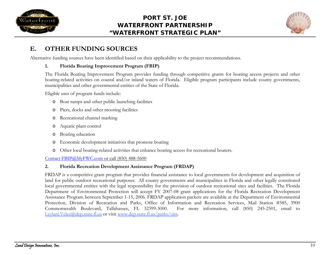



## **E.OTHER FUNDING SOURCES**

Alternative funding sources have been identified based on their applicability to the project recommendations.

#### **1.Florida Boating Improvement Program (FBIP)**

The Florida Boating Improvement Program provides funding through competitive grants for boating access projects and other boating-related activities on coastal and/or inland waters of Florida. Eligible program participants include county governments, municipalities and other governmental entities of the State of Florida.

Eligible uses of program funds include:

- o Boat ramps and other public launching facilities
- oPiers, docks and other mooring facilities
- oRecreational channel marking
- oAquatic plant control
- oBoating education
- oEconomic development initiatives that promote boating
- oOther local boating-related activities that enhance boating access for recreational boaters.

Contact FBIP@MyFWC.com or call (850) 488-5600

## **2.Florida Recreation Development Assistance Program (FRDAP)**

FRDAP is a competitive grant program that provides financial assistance to local governments for development and acquisition of land for public outdoor recreational purposes. All county governments and municipalities in Florida and other legally constituted local governmental entities with the legal responsibility for the provision of outdoor recreational sites and facilities. The Florida Department of Environmental Protection will accept FY 2007-08 grant applications for the Florida Recreation Development Assistance Program between September 1-15, 2006. FRDAP application packets are available at the Department of Environmental Protection, Division of Recreation and Parks, Office of Information and Recreation Services, Mail Station #585, 3900 Commonwealth Boulevard, Tallahassee, FL 32399-3000. For more information, call (850) 245-2501, email to Leylani.Velez@dep.state.fl.us or visit www.dep.state.fl.us/parks/oirs.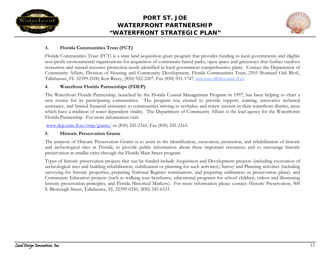



#### **3.Florida Communities Trust (FCT)**

Florida Communities Trust (FCT) is a state land acquisition grant program that provides funding to local governments and eligible non-profit environmental organizations for acquisition of community-based parks, open space and greenways that further outdoor recreation and natural resource protection needs identified in local government comprehensive plans. Contact the Department of Community Affairs, Division of Housing and Community Development, Florida Communities Trust, 2555 Shumard Oak Blvd., Tallahassee, FL 32399-2100, Ken Reecy, (850) 922-2207, Fax (850) 921-1747, ken.reecy@dca.state.fl.us

#### **4.Waterfront Florida Partnerships (FDEP)**

The Waterfront Florida Partnership, launched by the Florida Coastal Management Program in 1997, has been helping to chart a new course for its participating communities. The program was created to provide support, training, innovative technical assistance, and limited financial assistance to communities striving to revitalize and renew interest in their waterfront district, areas which have a tradition of water dependent vitality. The Department of Community Affairs is the lead agency for the Waterfronts Florida Partnership. For more information visit:

www.dep.state.fl.us/cmp/grants/ or (850) 245-2161, Fax (850) 245-2163.

#### **5.Historic Preservation Grants**

The purpose of Historic Preservation Grants is to assist in the identification, excavation, protection, and rehabilitation of historic and archeological sites in Florida; to provide public information about these important resources; and to encourage historic preservation in smaller cities through the Florida Main Street program.

Types of historic preservation projects that can be funded include Acquisition and Development projects (including excavation of archeological sites and building rehabilitation, stabilization or planning for such activities); Survey and Planning activities (including surveying for historic properties, preparing National Register nominations, and preparing ordinances or preservation plans): and Community Education projects (such as walking tour brochures, educational programs for school children, videos and illustrating historic preservation principles, and Florida Historical Markers). For more information please contact: Historic Preservation, 500 S. Bronough Street, Tallahassee, FL 32399-0250, (850) 245-6333.